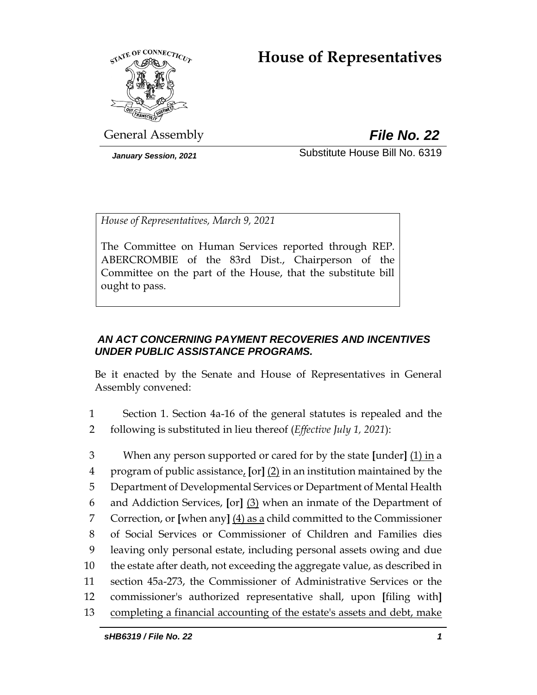# **House of Representatives**



General Assembly *File No. 22*

*January Session, 2021* Substitute House Bill No. 6319

*House of Representatives, March 9, 2021*

The Committee on Human Services reported through REP. ABERCROMBIE of the 83rd Dist., Chairperson of the Committee on the part of the House, that the substitute bill ought to pass.

# *AN ACT CONCERNING PAYMENT RECOVERIES AND INCENTIVES UNDER PUBLIC ASSISTANCE PROGRAMS.*

Be it enacted by the Senate and House of Representatives in General Assembly convened:

- 1 Section 1. Section 4a-16 of the general statutes is repealed and the 2 following is substituted in lieu thereof (*Effective July 1, 2021*):
- 3 When any person supported or cared for by the state **[**under**]** (1) in a 4 program of public assistance, **[**or**]** (2) in an institution maintained by the 5 Department of Developmental Services or Department of Mental Health 6 and Addiction Services, **[**or**]** (3) when an inmate of the Department of 7 Correction, or **[**when any**]** (4) as a child committed to the Commissioner 8 of Social Services or Commissioner of Children and Families dies 9 leaving only personal estate, including personal assets owing and due 10 the estate after death, not exceeding the aggregate value, as described in 11 section 45a-273, the Commissioner of Administrative Services or the 12 commissioner's authorized representative shall, upon **[**filing with**]** 13 completing a financial accounting of the estate's assets and debt, make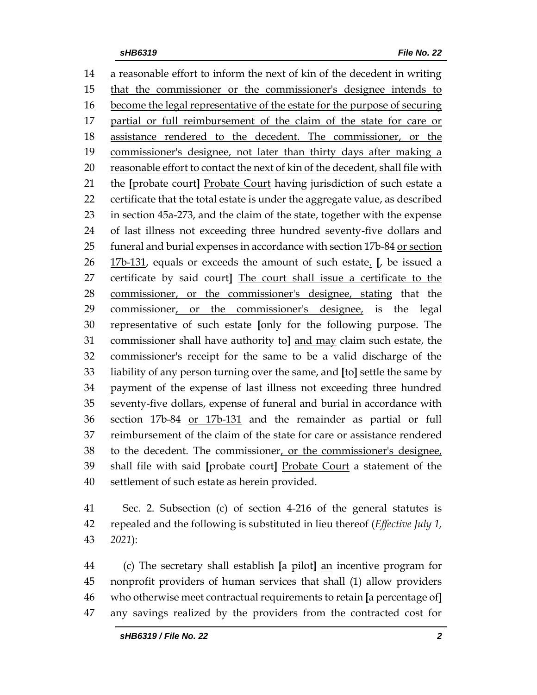a reasonable effort to inform the next of kin of the decedent in writing that the commissioner or the commissioner's designee intends to become the legal representative of the estate for the purpose of securing partial or full reimbursement of the claim of the state for care or assistance rendered to the decedent. The commissioner, or the commissioner's designee, not later than thirty days after making a reasonable effort to contact the next of kin of the decedent, shall file with the **[**probate court**]** Probate Court having jurisdiction of such estate a certificate that the total estate is under the aggregate value, as described in section 45a-273, and the claim of the state, together with the expense of last illness not exceeding three hundred seventy-five dollars and funeral and burial expenses in accordance with section 17b-84 or section 17b-131, equals or exceeds the amount of such estate. **[**, be issued a certificate by said court**]** The court shall issue a certificate to the commissioner, or the commissioner's designee, stating that the 29 commissioner, or the commissioner's designee, is the legal representative of such estate **[**only for the following purpose. The commissioner shall have authority to**]** and may claim such estate, the commissioner's receipt for the same to be a valid discharge of the liability of any person turning over the same, and **[**to**]** settle the same by payment of the expense of last illness not exceeding three hundred seventy-five dollars, expense of funeral and burial in accordance with section 17b-84 or 17b-131 and the remainder as partial or full reimbursement of the claim of the state for care or assistance rendered to the decedent. The commissioner, or the commissioner's designee, shall file with said **[**probate court**]** Probate Court a statement of the settlement of such estate as herein provided.

 Sec. 2. Subsection (c) of section 4-216 of the general statutes is repealed and the following is substituted in lieu thereof (*Effective July 1, 2021*):

 (c) The secretary shall establish **[**a pilot**]** an incentive program for nonprofit providers of human services that shall (1) allow providers who otherwise meet contractual requirements to retain **[**a percentage of**]** any savings realized by the providers from the contracted cost for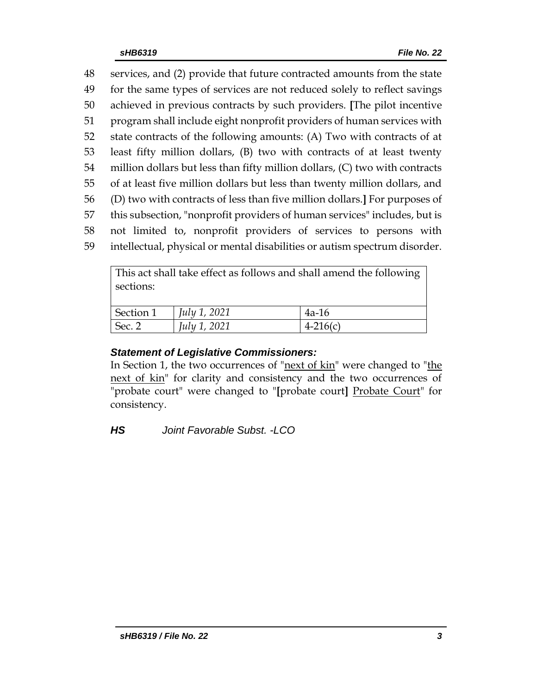services, and (2) provide that future contracted amounts from the state for the same types of services are not reduced solely to reflect savings achieved in previous contracts by such providers. **[**The pilot incentive program shall include eight nonprofit providers of human services with state contracts of the following amounts: (A) Two with contracts of at least fifty million dollars, (B) two with contracts of at least twenty million dollars but less than fifty million dollars, (C) two with contracts of at least five million dollars but less than twenty million dollars, and (D) two with contracts of less than five million dollars.**]** For purposes of this subsection, "nonprofit providers of human services" includes, but is not limited to, nonprofit providers of services to persons with intellectual, physical or mental disabilities or autism spectrum disorder.

This act shall take effect as follows and shall amend the following sections:

| Section 1 | <i>July 1, 2021</i> | $4a-16$    |
|-----------|---------------------|------------|
| Sec. 2    | <i>July 1, 2021</i> | $4-216(c)$ |

# *Statement of Legislative Commissioners:*

In Section 1, the two occurrences of "<u>next of kin</u>" were changed to "the next of kin" for clarity and consistency and the two occurrences of "probate court" were changed to "**[**probate court**]** Probate Court" for consistency.

*HS Joint Favorable Subst. -LCO*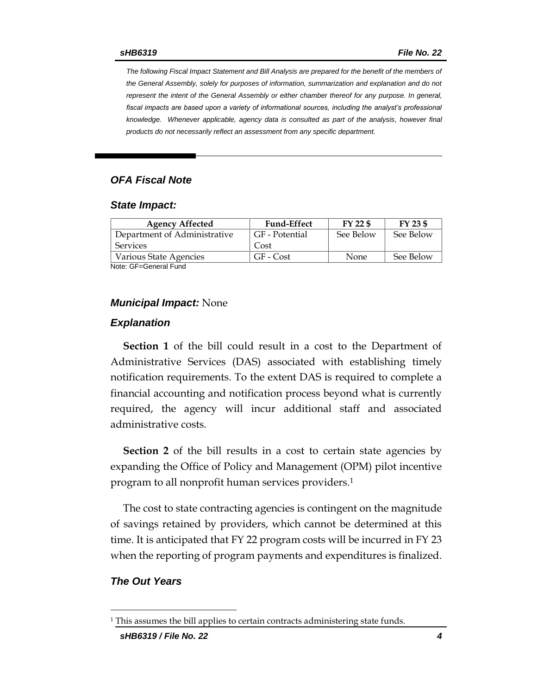*The following Fiscal Impact Statement and Bill Analysis are prepared for the benefit of the members of the General Assembly, solely for purposes of information, summarization and explanation and do not represent the intent of the General Assembly or either chamber thereof for any purpose. In general,*  fiscal impacts are based upon a variety of informational sources, including the analyst's professional *knowledge. Whenever applicable, agency data is consulted as part of the analysis, however final products do not necessarily reflect an assessment from any specific department.*

### *OFA Fiscal Note*

#### *State Impact:*

| <b>Agency Affected</b>       | <b>Fund-Effect</b> | FY 22 \$  | FY 23 \$  |
|------------------------------|--------------------|-----------|-----------|
| Department of Administrative | GF - Potential     | See Below | See Below |
| <b>Services</b>              | Cost               |           |           |
| Various State Agencies       | GF - Cost          | None      | See Below |

Note: GF=General Fund

#### *Municipal Impact:* None

#### *Explanation*

**Section 1** of the bill could result in a cost to the Department of Administrative Services (DAS) associated with establishing timely notification requirements. To the extent DAS is required to complete a financial accounting and notification process beyond what is currently required, the agency will incur additional staff and associated administrative costs.

**Section 2** of the bill results in a cost to certain state agencies by expanding the Office of Policy and Management (OPM) pilot incentive program to all nonprofit human services providers. 1

The cost to state contracting agencies is contingent on the magnitude of savings retained by providers, which cannot be determined at this time. It is anticipated that FY 22 program costs will be incurred in FY 23 when the reporting of program payments and expenditures is finalized.

### *The Out Years*

 $\overline{a}$ 

 $1$  This assumes the bill applies to certain contracts administering state funds.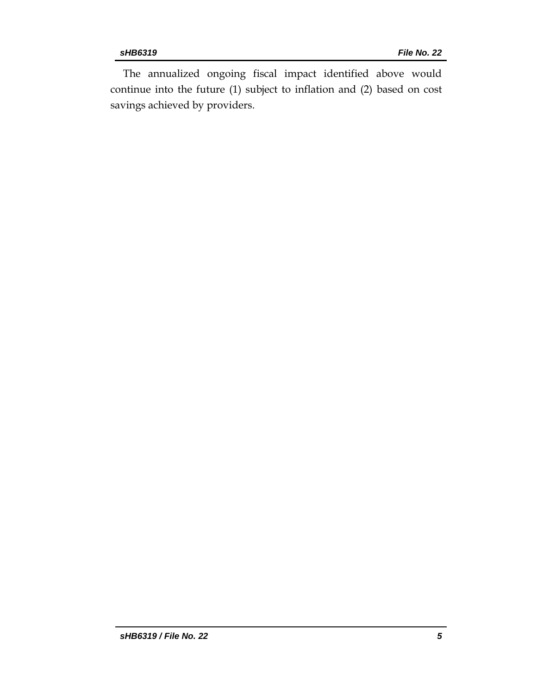The annualized ongoing fiscal impact identified above would continue into the future (1) subject to inflation and (2) based on cost savings achieved by providers.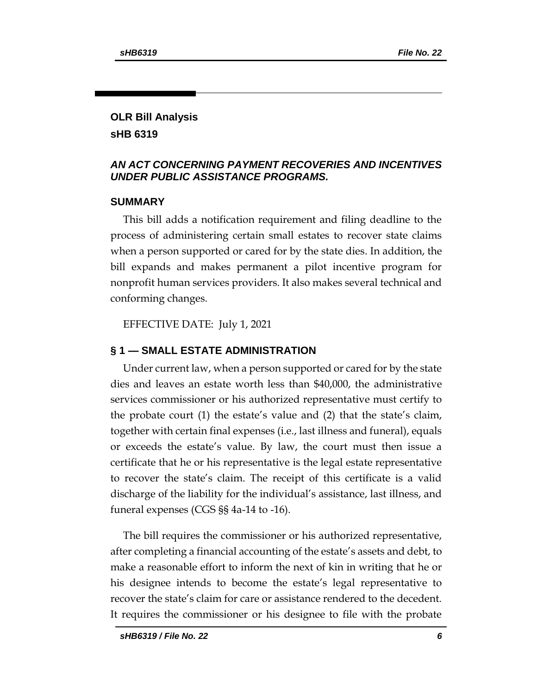# **OLR Bill Analysis sHB 6319**

# *AN ACT CONCERNING PAYMENT RECOVERIES AND INCENTIVES UNDER PUBLIC ASSISTANCE PROGRAMS.*

# **SUMMARY**

This bill adds a notification requirement and filing deadline to the process of administering certain small estates to recover state claims when a person supported or cared for by the state dies. In addition, the bill expands and makes permanent a pilot incentive program for nonprofit human services providers. It also makes several technical and conforming changes.

EFFECTIVE DATE: July 1, 2021

# **§ 1 — SMALL ESTATE ADMINISTRATION**

Under current law, when a person supported or cared for by the state dies and leaves an estate worth less than \$40,000, the administrative services commissioner or his authorized representative must certify to the probate court (1) the estate's value and (2) that the state's claim, together with certain final expenses (i.e., last illness and funeral), equals or exceeds the estate's value. By law, the court must then issue a certificate that he or his representative is the legal estate representative to recover the state's claim. The receipt of this certificate is a valid discharge of the liability for the individual's assistance, last illness, and funeral expenses (CGS §§ 4a-14 to -16).

The bill requires the commissioner or his authorized representative, after completing a financial accounting of the estate's assets and debt, to make a reasonable effort to inform the next of kin in writing that he or his designee intends to become the estate's legal representative to recover the state's claim for care or assistance rendered to the decedent. It requires the commissioner or his designee to file with the probate